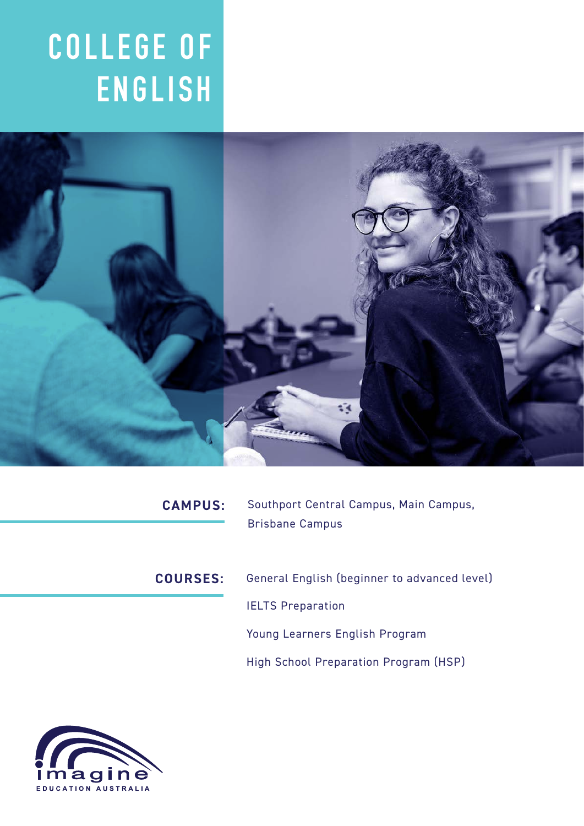# **C O L L E G E O F ENGLISH**



| <b>CAMPUS:</b>  | Southport Central Campus, Main Campus,<br><b>Brisbane Campus</b> |
|-----------------|------------------------------------------------------------------|
|                 |                                                                  |
| <b>COURSES:</b> | General English (beginner to advanced level)                     |
|                 | <b>IELTS Preparation</b>                                         |
|                 | Young Learners English Program                                   |
|                 | High School Preparation Program (HSP)                            |
|                 |                                                                  |
|                 |                                                                  |

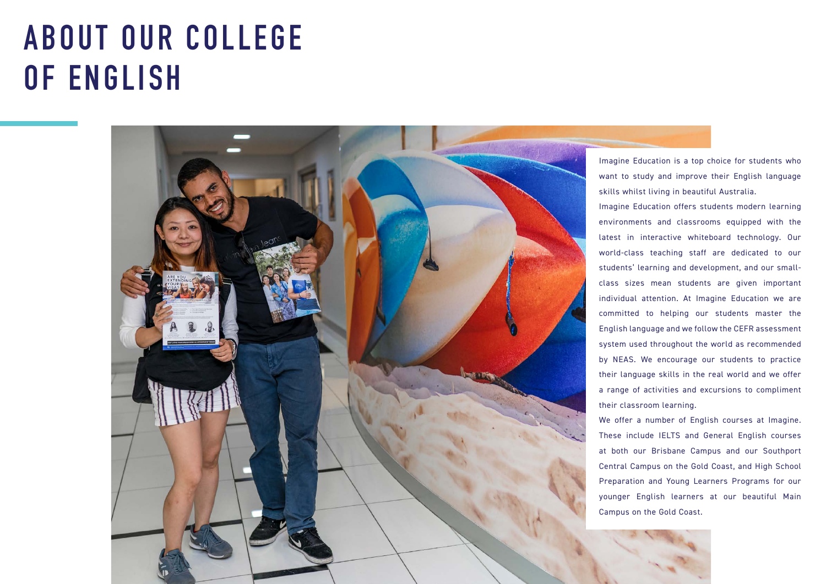# **A B O U T O U R C O L L E G E OF ENGLISH**

Imagine Education is a top choice for students who want to study and improve their English language skills whilst living in beautiful Australia.

Imagine Education offers students modern learning environments and classrooms equipped with the latest in interactive whiteboard technology. Our world-class teaching staff are dedicated to our students' learning and development, and our smallclass sizes mean students are given important individual attention. At Imagine Education we are committed to helping our students master the English language and we follow the CEFR assessment system used throughout the world as recommended by NEAS. We encourage our students to practice their language skills in the real world and we offer a range of activities and excursions to compliment



We offer a number of English courses at Imagine. These include IELTS and General English courses at both our Brisbane Campus and our Southport Central Campus on the Gold Coast, and High School Preparation and Young Learners Programs for our younger English learners at our beautiful Main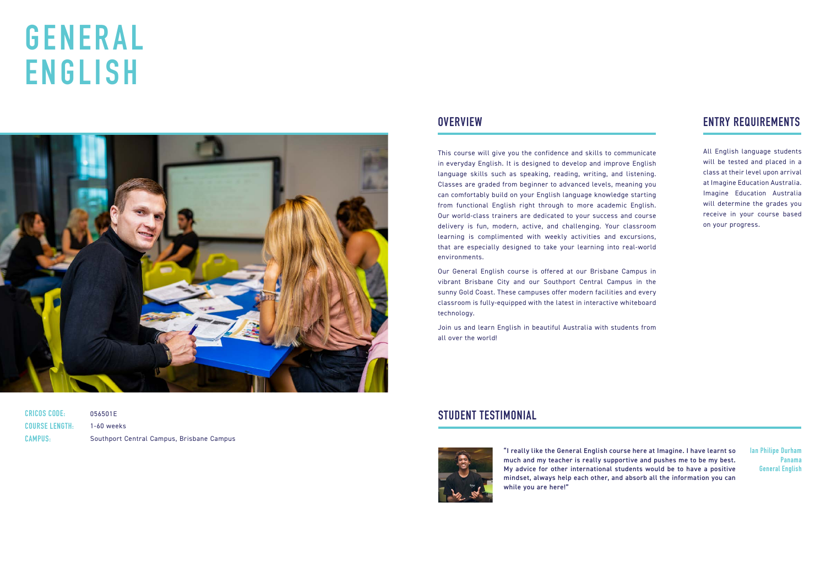# **G E N E R A L ENGLISH**



**CRICOS CODE: COURSE LENGTH: CAMPUS:**

056501E 1-60 weeks Southport Central Campus, Brisbane Campus

All English language students will be tested and placed in a class at their level upon arrival at Imagine Education Australia. Imagine Education Australia will determine the grades you receive in your course based on your progress.

This course will give you the confidence and skills to communicate in everyday English. It is designed to develop and improve English language skills such as speaking, reading, writing, and listening. Classes are graded from beginner to advanced levels, meaning you can comfortably build on your English language knowledge starting from functional English right through to more academic English. Our world-class trainers are dedicated to your success and course delivery is fun, modern, active, and challenging. Your classroom learning is complimented with weekly activities and excursions, that are especially designed to take your learning into real-world environments.

Our General English course is offered at our Brisbane Campus in vibrant Brisbane City and our Southport Central Campus in the sunny Gold Coast. These campuses offer modern facilities and every classroom is fully-equipped with the latest in interactive whiteboard technology.

Join us and learn English in beautiful Australia with students from all over the world!

### **OVERVIEW ENTRY REQUIREMENTS**

"I really like the General English course here at Imagine. I have learnt so much and my teacher is really supportive and pushes me to be my best. My advice for other international students would be to have a positive mindset, always help each other, and absorb all the information you can while you are here!"

### **STUDENT TESTIMONIAL**



**Ian Philipe Durham Panama General English**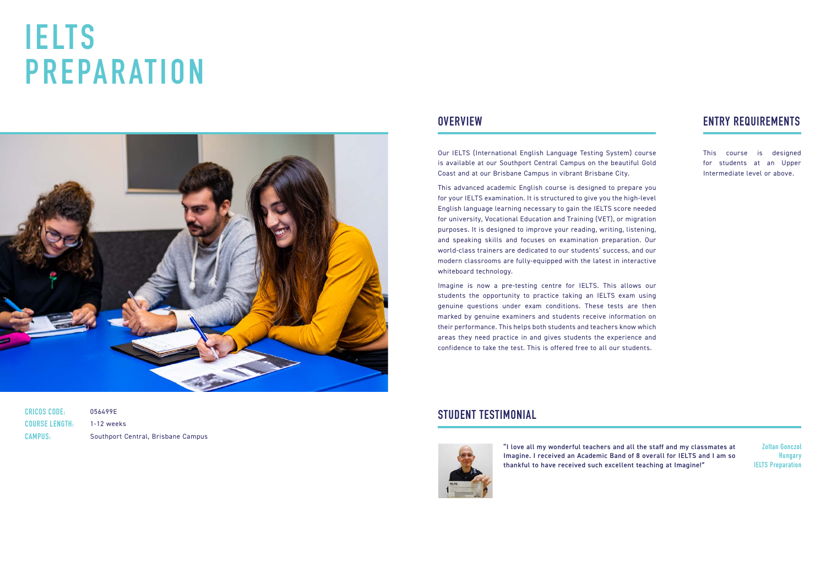# **I E LT S PREPARATION**



| <b>CRICOS CODE:</b>   | 056499E                            |
|-----------------------|------------------------------------|
| <b>COURSE LENGTH:</b> | 1-12 weeks                         |
| <b>CAMPUS:</b>        | Southport Central, Brisbane Campus |

Our IELTS (International English Language Testing System) course is available at our Southport Central Campus on the beautiful Gold Coast and at our Brisbane Campus in vibrant Brisbane City.

This advanced academic English course is designed to prepare you for your IELTS examination. It is structured to give you the high-level English language learning necessary to gain the IELTS score needed for university, Vocational Education and Training (VET), or migration purposes. It is designed to improve your reading, writing, listening, and speaking skills and focuses on examination preparation. Our world-class trainers are dedicated to our students' success, and our modern classrooms are fully-equipped with the latest in interactive whiteboard technology.

Imagine is now a pre-testing centre for IELTS. This allows our students the opportunity to practice taking an IELTS exam using genuine questions under exam conditions. These tests are then marked by genuine examiners and students receive information on their performance. This helps both students and teachers know which areas they need practice in and gives students the experience and confidence to take the test. This is offered free to all our students.

## **OVERVIEW ENTRY REQUIREMENTS**

This course is designed for students at an Upper Intermediate level or above.

"I love all my wonderful teachers and all the staff and my classmates at Imagine. I received an Academic Band of 8 overall for IELTS and I am so thankful to have received such excellent teaching at Imagine!"

### **STUDENT TESTIMONIAL**



**Zoltan Gonczol Hungary IELTS Preparation**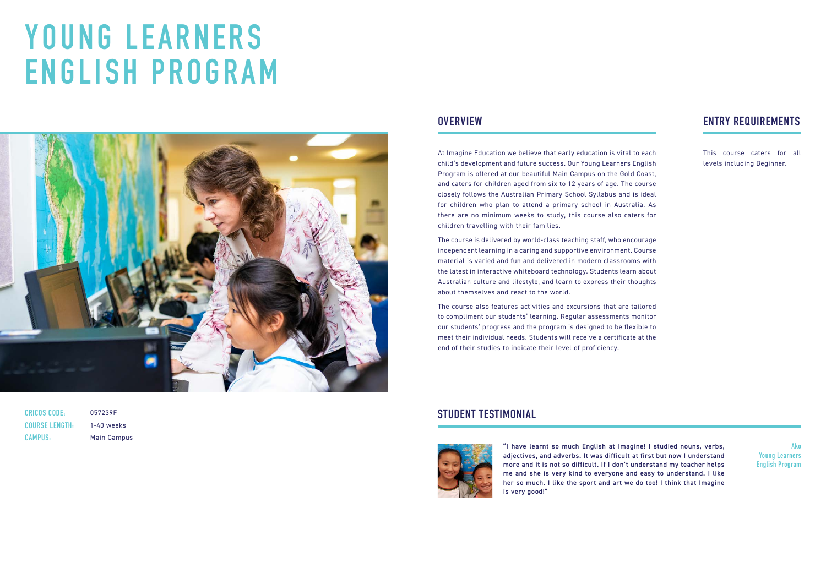# **Y O U N G L E A R N E R S ENGLISH PROGRAM**



| <b>CRICOS CODE:</b>   |
|-----------------------|
| <b>COURSE LENGTH:</b> |
| <b>CAMPUS:</b>        |

057239F 1-40 weeks Main Campus

At Imagine Education we believe that early education is vital to each child's development and future success. Our Young Learners English Program is offered at our beautiful Main Campus on the Gold Coast, and caters for children aged from six to 12 years of age. The course closely follows the Australian Primary School Syllabus and is ideal for children who plan to attend a primary school in Australia. As there are no minimum weeks to study, this course also caters for children travelling with their families.

The course is delivered by world-class teaching staff, who encourage independent learning in a caring and supportive environment. Course material is varied and fun and delivered in modern classrooms with the latest in interactive whiteboard technology. Students learn about Australian culture and lifestyle, and learn to express their thoughts about themselves and react to the world.

The course also features activities and excursions that are tailored to compliment our students' learning. Regular assessments monitor our students' progress and the program is designed to be flexible to meet their individual needs. Students will receive a certificate at the end of their studies to indicate their level of proficiency.

## **OVERVIEW ENTRY REQUIREMENTS**

This course caters for all levels including Beginner.

"I have learnt so much English at Imagine! I studied nouns, verbs, adjectives, and adverbs. It was difficult at first but now I understand more and it is not so difficult. If I don't understand my teacher helps me and she is very kind to everyone and easy to understand. I like her so much. I like the sport and art we do too! I think that Imagine is very good!"

#### **STUDENT TESTIMONIAL**



**Ako Young Learners English Program**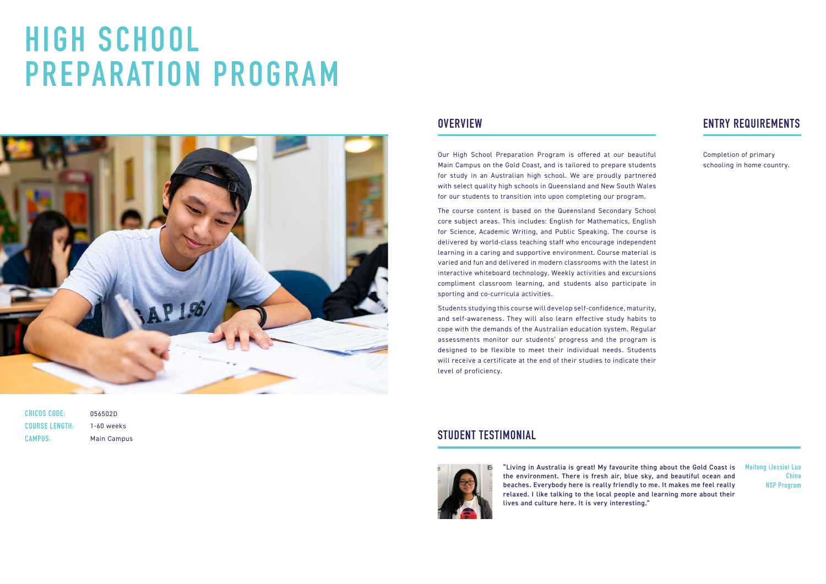# **HIGH SCHOOL PREPARATION PROGRAM**



| CRICOS CODE:          | ۵ |
|-----------------------|---|
| <b>COURSE LENGTH:</b> |   |
| <b>CAMPUS:</b>        | Ν |

056502D 1-60 weeks Main Campus

Our High School Preparation Program is offered at our beautiful Main Campus on the Gold Coast, and is tailored to prepare students for study in an Australian high school. We are proudly partnered with select quality high schools in Queensland and New South Wales for our students to transition into upon completing our program.

The course content is based on the Queensland Secondary School core subject areas. This includes: English for Mathematics, English for Science, Academic Writing, and Public Speaking. The course is delivered by world-class teaching staff who encourage independent learning in a caring and supportive environment. Course material is varied and fun and delivered in modern classrooms with the latest in interactive whiteboard technology. Weekly activities and excursions compliment classroom learning, and students also participate in sporting and co-curricula activities.

Students studying this course will develop self-confidence, maturity, and self-awareness. They will also learn effective study habits to cope with the demands of the Australian education system. Regular assessments monitor our students' progress and the program is designed to be flexible to meet their individual needs. Students will receive a certificate at the end of their studies to indicate their level of proficiency.

## **OVERVIEW ENTRY REQUIREMENTS**

Completion of primary schooling in home country.

"Living in Australia is great! My favourite thing about the Gold Coast is the environment. There is fresh air, blue sky, and beautiful ocean and beaches. Everybody here is really friendly to me. It makes me feel really relaxed. I like talking to the local people and learning more about their lives and culture here. It is very interesting."

### **STUDENT TESTIMONIAL**



**Meitong (Jessie) Luo China HSP Program**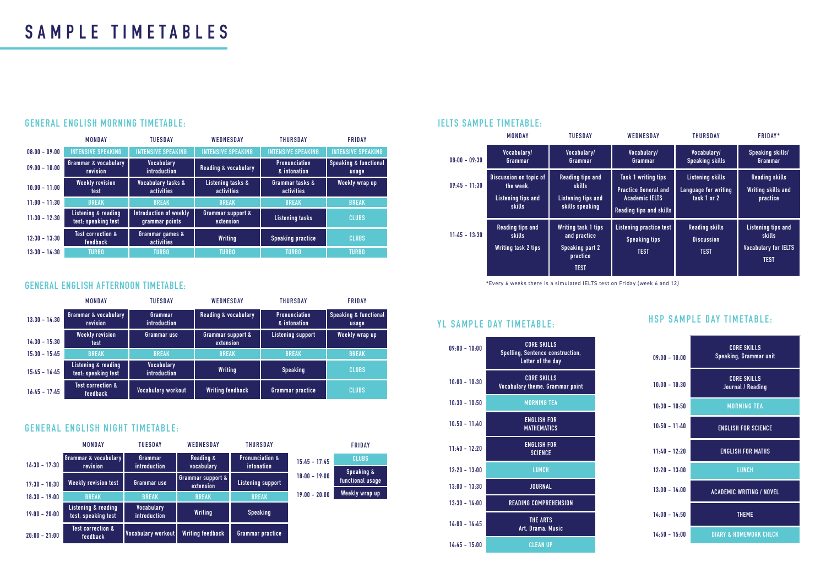|                 | <b>MONDAY</b>                                                                     | <b>TUESDAY</b>                                                                                  | <b>WEDNESDAY</b>                                                                                                     | <b>THURSDAY</b>                                                | <b>FRIDAY*</b>                                                                           |
|-----------------|-----------------------------------------------------------------------------------|-------------------------------------------------------------------------------------------------|----------------------------------------------------------------------------------------------------------------------|----------------------------------------------------------------|------------------------------------------------------------------------------------------|
| $08:00 - 09:30$ | Vocabulary/<br>Grammar                                                            | Vocabulary/<br>Vocabulary/<br>Grammar<br>Grammar                                                |                                                                                                                      | Vocabulary/<br><b>Speaking skills</b>                          | <b>Speaking skills/</b><br>Grammar                                                       |
| $09:45 - 11:30$ | <b>Discussion on topic of</b><br>the week.<br><b>Listening tips and</b><br>skills | <b>Reading tips and</b><br><b>skills</b><br>Listening tips and<br>skills speaking               | <b>Task 1 writing tips</b><br><b>Practice General and</b><br><b>Academic IELTS</b><br><b>Reading tips and skills</b> | <b>Listening skills</b><br>Language for writing<br>task 1 or 2 | <b>Reading skills</b><br><b>Writing skills and</b><br>practice                           |
| $11:45 - 13:30$ | <b>Reading tips and</b><br><b>skills</b><br><b>Writing task 2 tips</b>            | <b>Writing task 1 tips</b><br>and practice<br><b>Speaking part 2</b><br>practice<br><b>TEST</b> | Listening practice test<br><b>Speaking tips</b><br><b>TEST</b>                                                       | <b>Reading skills</b><br><b>Discussion</b><br><b>TEST</b>      | <b>Listening tips and</b><br><b>skills</b><br><b>Vocabulary for IELTS</b><br><b>TEST</b> |

### **YL SAMPLE DAY TIMETABLE:**

| $09:00 - 10:00$ | <b>CORE SKILLS</b><br>Spelling, Sentence construction,<br>Letter of the day |
|-----------------|-----------------------------------------------------------------------------|
| $10:00 - 10:30$ | <b>CORE SKILLS</b><br>Vocabulary theme, Grammar point                       |
| $10:30 - 10:50$ | <b>MORNING TEA</b>                                                          |
| $10:50 - 11:40$ | <b>ENGLISH FOR</b><br><b>MATHEMATICS</b>                                    |
| $11:40 - 12:20$ | <b>ENGLISH FOR</b><br><b>SCIENCE</b>                                        |
| $12.20 - 13.00$ | <b>LUNCH</b>                                                                |
| $13:00 - 13:30$ | <b>JOURNAL</b>                                                              |
| $13:30 - 14:00$ | <b>READING COMPREHENSION</b>                                                |
| $14:00 - 14:45$ | <b>THE ARTS</b><br>Art, Drama, Music                                        |
| $14:45 - 15:00$ | <b>CLEAN UP</b>                                                             |

| $09:00 - 10:00$ | <b>CORE SKILLS</b><br>Speaking, Grammar unit |
|-----------------|----------------------------------------------|
| $10:00 - 10:30$ | <b>CORE SKILLS</b><br>Journal / Reading      |
| $10:30 - 10:50$ | <b>MORNING TEA</b>                           |
| $10:50 - 11:40$ | <b>ENGLISH FOR SCIENCE</b>                   |
| $11:40 - 12:20$ | <b>ENGLISH FOR MATHS</b>                     |
| $12:20 - 13:00$ | <b>LUNCH</b>                                 |
| $13:00 - 14:00$ | <b>ACADEMIC WRITING / NOVEL</b>              |
| $14:00 - 14:50$ | <b>THEME</b>                                 |
| $14:50 - 15:00$ | <b>DIARY &amp; HOMEWORK CHECK</b>            |

#### **HSP SAMPLE DAY TIMETABLE:**

#### **IELTS SAMPLE TIMETABLE:**

|                 | <b>MONDAY</b>                                   | <b>TUESDAY</b>                           | <b>WEDNESDAY</b>                | <b>THURSDAY</b>                      | <b>FRIDAY</b>                             |
|-----------------|-------------------------------------------------|------------------------------------------|---------------------------------|--------------------------------------|-------------------------------------------|
| $13:30 - 14:30$ | <b>Grammar &amp; vocabulary</b><br>revision     | Grammar<br>introduction                  | <b>Reading &amp; vocabulary</b> | <b>Pronunciation</b><br>& intonation | <b>Speaking &amp; functional</b><br>usage |
| $14:30 - 15:30$ | <b>Weekly revision</b><br><b>test</b>           | Grammar use                              | Grammar support &<br>extension  | <b>Listening support</b>             | <b>Weekly wrap up</b>                     |
| $15:30 - 15:45$ | <b>BREAK</b>                                    | <b>BREAK</b>                             | <b>BREAK</b>                    | <b>BREAK</b>                         | <b>BREAK</b>                              |
| $15:45 - 16:45$ | Listening & reading<br>test; speaking test      | <b>Vocabulary</b><br><i>introduction</i> | <b>Writing</b>                  | <b>Speaking</b>                      | <b>CLUBS</b>                              |
| $16:45 - 17:45$ | <b>Test correction &amp;</b><br><b>feedback</b> | Vocabulary workout                       | <b>Writing feedback</b>         | Grammar practice                     | <b>CLUBS</b>                              |

#### **GENERAL ENGLISH AFTERNOON TIMETABLE:**

|                 | <b>MONDAY</b>                              | <b>TUESDAY</b>                    | <b>WEDNESDAY</b>                   | <b>THURSDAY</b>                          |                 | <b>FRIDAY</b>                  |
|-----------------|--------------------------------------------|-----------------------------------|------------------------------------|------------------------------------------|-----------------|--------------------------------|
| $16:30 - 17:30$ | Grammar & vocabulary<br>revision           | Grammar<br>introduction           | <b>Reading &amp;</b><br>vocabulary | <b>Pronunciation &amp;</b><br>intonation | $15:45 - 17:45$ | <b>CLUBS</b>                   |
|                 |                                            |                                   | <b>Grammar support &amp;</b>       |                                          | $18:00 - 19:00$ | Speaking &<br>functional usage |
| $17:30 - 18:30$ | <b>Weekly revision test</b>                | Grammar use                       | extension                          | <b>Listening support</b>                 |                 |                                |
| $18:30 - 19:00$ | <b>BREAK</b>                               | <b>BREAK</b>                      | <b>BREAK</b>                       | <b>BREAK</b>                             | $19:00 - 20:00$ | Weekly wrap up                 |
| $19:00 - 20:00$ | Listening & reading<br>test; speaking test | <b>Vocabulary</b><br>introduction | <b>Writing</b>                     | <b>Speaking</b>                          |                 |                                |
| $20:00 - 21:00$ | <b>Test correction &amp;</b><br>feedback   | Vocabulary workout                | <b>Writing feedback</b>            | Grammar practice                         |                 |                                |

#### **GENERAL ENGLISH NIGHT TIMETABLE:**

|                 | MONDAY                                      | <b>TUESDAY</b>                              | WEDNESDAY                                                        | <b>THURSDAY</b>                      | <b>FRIDAY</b>                             |
|-----------------|---------------------------------------------|---------------------------------------------|------------------------------------------------------------------|--------------------------------------|-------------------------------------------|
| $08:00 - 09:00$ | <b>INTENSIVE SPEAKING</b>                   | <b>INTENSIVE SPEAKING</b>                   | <b>INTENSIVE SPEAKING</b>                                        | <b>INTENSIVE SPEAKING</b>            | <b>INTENSIVE SPEAKING</b>                 |
| $09:00 - 10:00$ | <b>Grammar &amp; vocabulary</b><br>revision | <b>Vocabulary</b><br>introduction           | <b>Reading &amp; vocabulary</b>                                  | <b>Pronunciation</b><br>& intonation | <b>Speaking &amp; functional</b><br>usage |
| $10:00 - 11:00$ | <b>Weekly revision</b><br>test              | <b>Vocabulary tasks &amp;</b><br>activities | Listening tasks &<br>Grammar tasks &<br>activities<br>activities |                                      | Weekly wrap up                            |
| $11:00 - 11:30$ | <b>BREAK</b>                                | <b>BREAK</b>                                | <b>BREAK</b>                                                     | <b>BREAK</b>                         | <b>BREAK</b>                              |
| $11:30 - 12:30$ | Listening & reading<br>test; speaking test  | Introduction of weekly<br>grammar points    | Grammar support &<br>extension                                   | <b>Listening tasks</b>               | <b>CLUBS</b>                              |
| $12:30 - 13:30$ | <b>Test correction &amp;</b><br>feedback    | Grammar games &<br>activities               | <b>Writing</b>                                                   | <b>Speaking practice</b>             | <b>CLUBS</b>                              |
| $13:30 - 14:30$ | <b>TURBO</b>                                | <b>TURBO</b>                                | <b>TURBO</b>                                                     | TURBO                                | <b>TURBO</b>                              |

### **GENERAL ENGLISH MORNING TIMETABLE:**

\*Every 6 weeks there is a simulated IELTS test on Friday (week 6 and 12)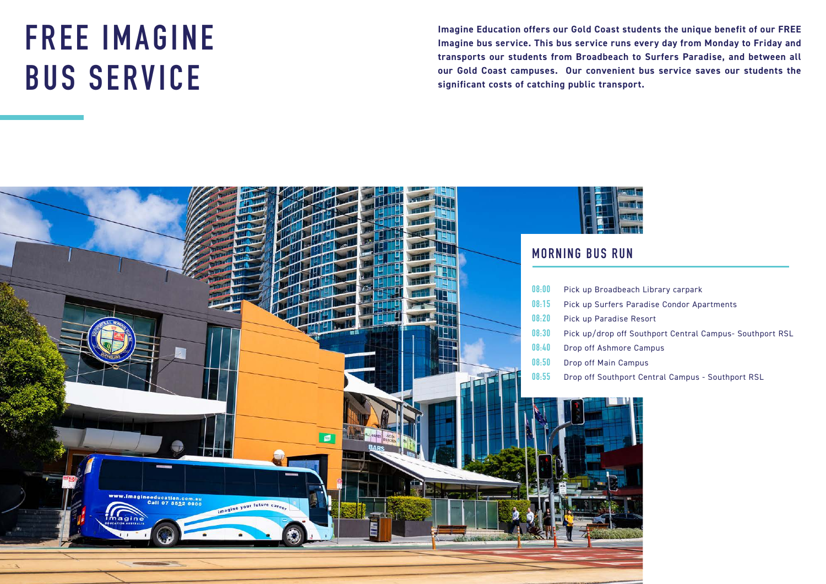# **FREE IMAGINE BUS SERVICE**

**Imagine Education offers our Gold Coast students the unique benefit of our FREE Imagine bus service. This bus service runs every day from Monday to Friday and transports our students from Broadbeach to Surfers Paradise, and between all our Gold Coast campuses. Our convenient bus service saves our students the significant costs of catching public transport.**





- 
- **08:15** Pick up Surfers Paradise Condor Apartments
	-
- **08:30** Pick up/drop off Southport Central Campus- Southport RSL
	-
	-
- **08:55** Drop off Southport Central Campus Southport RSL